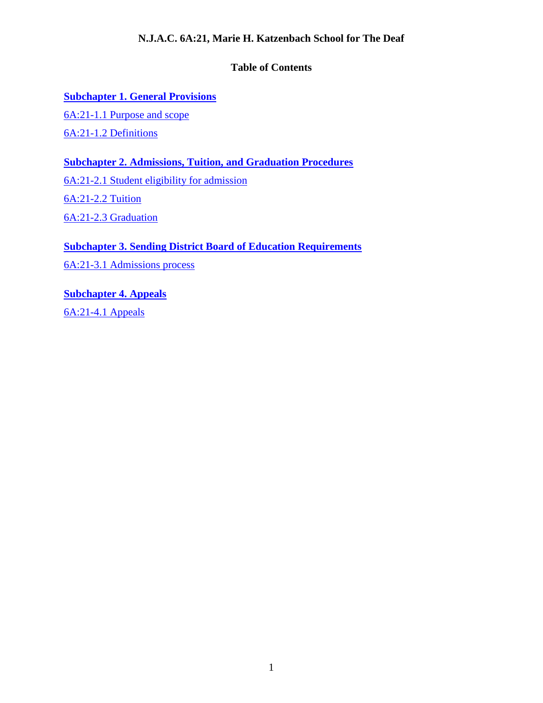# **N.J.A.C. 6A:21, Marie H. Katzenbach School for The Deaf**

# **Table of Contents**

# **[Subchapter 1. General Provisions](#page-1-0)**

[6A:21-1.1 Purpose and scope](#page-1-1) [6A:21-1.2 Definitions](#page-1-2)

# **[Subchapter 2. Admissions, Tuition, and Graduation Procedures](#page-2-0)**

[6A:21-2.1 Student eligibility for admission](#page-2-1) [6A:21-2.2 Tuition](#page-2-2) [6A:21-2.3 Graduation](#page-3-0)

# **[Subchapter 3. Sending District Board of Education Requirements](#page-3-1)**

[6A:21-3.1 Admissions process](#page-3-2)

# **[Subchapter 4. Appeals](#page-4-0)**

[6A:21-4.1 Appeals](#page-4-1)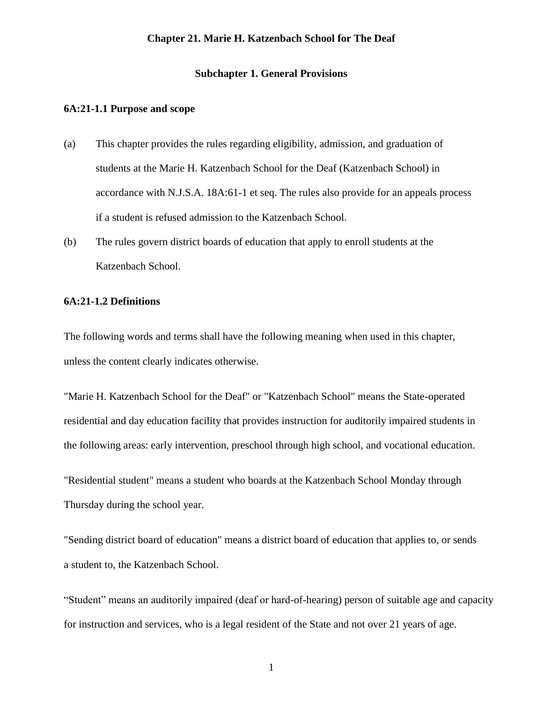#### **Chapter 21. Marie H. Katzenbach School for The Deaf**

#### **Subchapter 1. General Provisions**

#### <span id="page-1-1"></span><span id="page-1-0"></span>**6A:21-1.1 Purpose and scope**

- (a) This chapter provides the rules regarding eligibility, admission, and graduation of students at the Marie H. Katzenbach School for the Deaf (Katzenbach School) in accordance with N.J.S.A. 18A:61-1 et seq. The rules also provide for an appeals process if a student is refused admission to the Katzenbach School.
- (b) The rules govern district boards of education that apply to enroll students at the Katzenbach School.

#### <span id="page-1-2"></span>**6A:21-1.2 Definitions**

The following words and terms shall have the following meaning when used in this chapter, unless the content clearly indicates otherwise.

"Marie H. Katzenbach School for the Deaf" or "Katzenbach School" means the State-operated residential and day education facility that provides instruction for auditorily impaired students in the following areas: early intervention, preschool through high school, and vocational education.

"Residential student" means a student who boards at the Katzenbach School Monday through Thursday during the school year.

"Sending district board of education" means a district board of education that applies to, or sends a student to, the Katzenbach School.

"Student" means an auditorily impaired (deaf or hard-of-hearing) person of suitable age and capacity for instruction and services, who is a legal resident of the State and not over 21 years of age.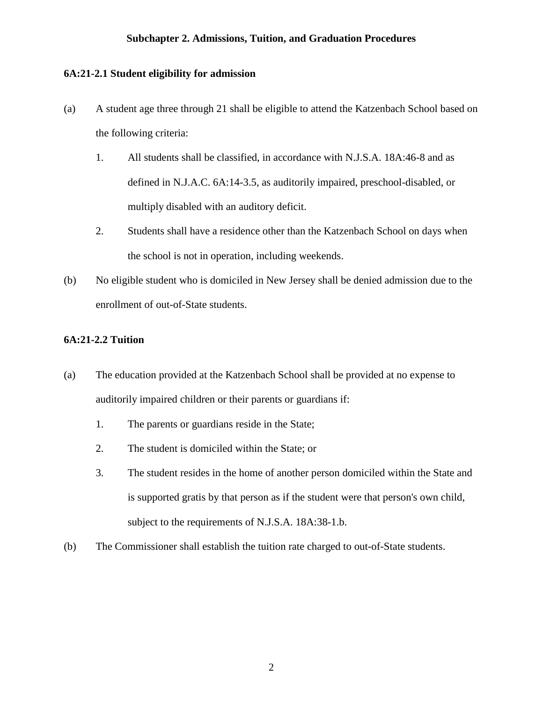## **Subchapter 2. Admissions, Tuition, and Graduation Procedures**

## <span id="page-2-1"></span><span id="page-2-0"></span>**6A:21-2.1 Student eligibility for admission**

- (a) A student age three through 21 shall be eligible to attend the Katzenbach School based on the following criteria:
	- 1. All students shall be classified, in accordance with N.J.S.A. 18A:46-8 and as defined in N.J.A.C. 6A:14-3.5, as auditorily impaired, preschool-disabled, or multiply disabled with an auditory deficit.
	- 2. Students shall have a residence other than the Katzenbach School on days when the school is not in operation, including weekends.
- (b) No eligible student who is domiciled in New Jersey shall be denied admission due to the enrollment of out-of-State students.

## <span id="page-2-2"></span>**6A:21-2.2 Tuition**

- (a) The education provided at the Katzenbach School shall be provided at no expense to auditorily impaired children or their parents or guardians if:
	- 1. The parents or guardians reside in the State;
	- 2. The student is domiciled within the State; or
	- 3. The student resides in the home of another person domiciled within the State and is supported gratis by that person as if the student were that person's own child, subject to the requirements of N.J.S.A. 18A:38-1.b.
- (b) The Commissioner shall establish the tuition rate charged to out-of-State students.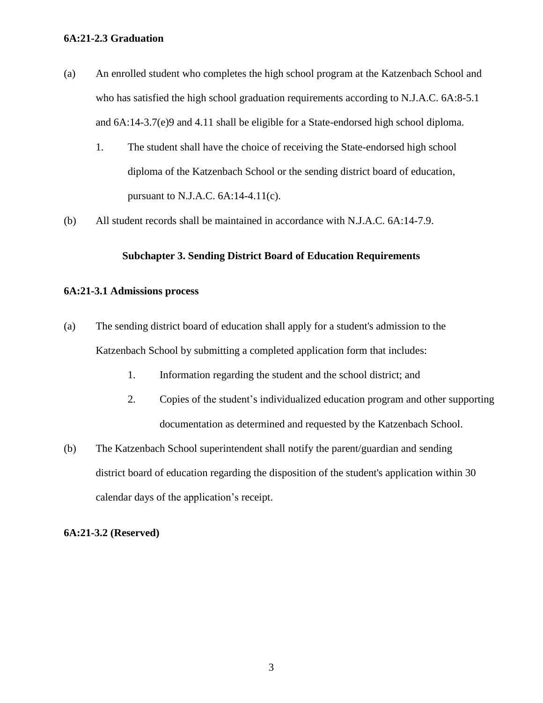## <span id="page-3-0"></span>**6A:21-2.3 Graduation**

- (a) An enrolled student who completes the high school program at the Katzenbach School and who has satisfied the high school graduation requirements according to N.J.A.C. 6A:8-5.1 and 6A:14-3.7(e)9 and 4.11 shall be eligible for a State-endorsed high school diploma.
	- 1. The student shall have the choice of receiving the State-endorsed high school diploma of the Katzenbach School or the sending district board of education, pursuant to N.J.A.C. 6A:14-4.11(c).
- <span id="page-3-1"></span>(b) All student records shall be maintained in accordance with N.J.A.C. 6A:14-7.9.

## **Subchapter 3. Sending District Board of Education Requirements**

## <span id="page-3-2"></span>**6A:21-3.1 Admissions process**

- (a) The sending district board of education shall apply for a student's admission to the Katzenbach School by submitting a completed application form that includes:
	- 1. Information regarding the student and the school district; and
	- 2. Copies of the student's individualized education program and other supporting documentation as determined and requested by the Katzenbach School.
- (b) The Katzenbach School superintendent shall notify the parent/guardian and sending district board of education regarding the disposition of the student's application within 30 calendar days of the application's receipt.

## **6A:21-3.2 (Reserved)**